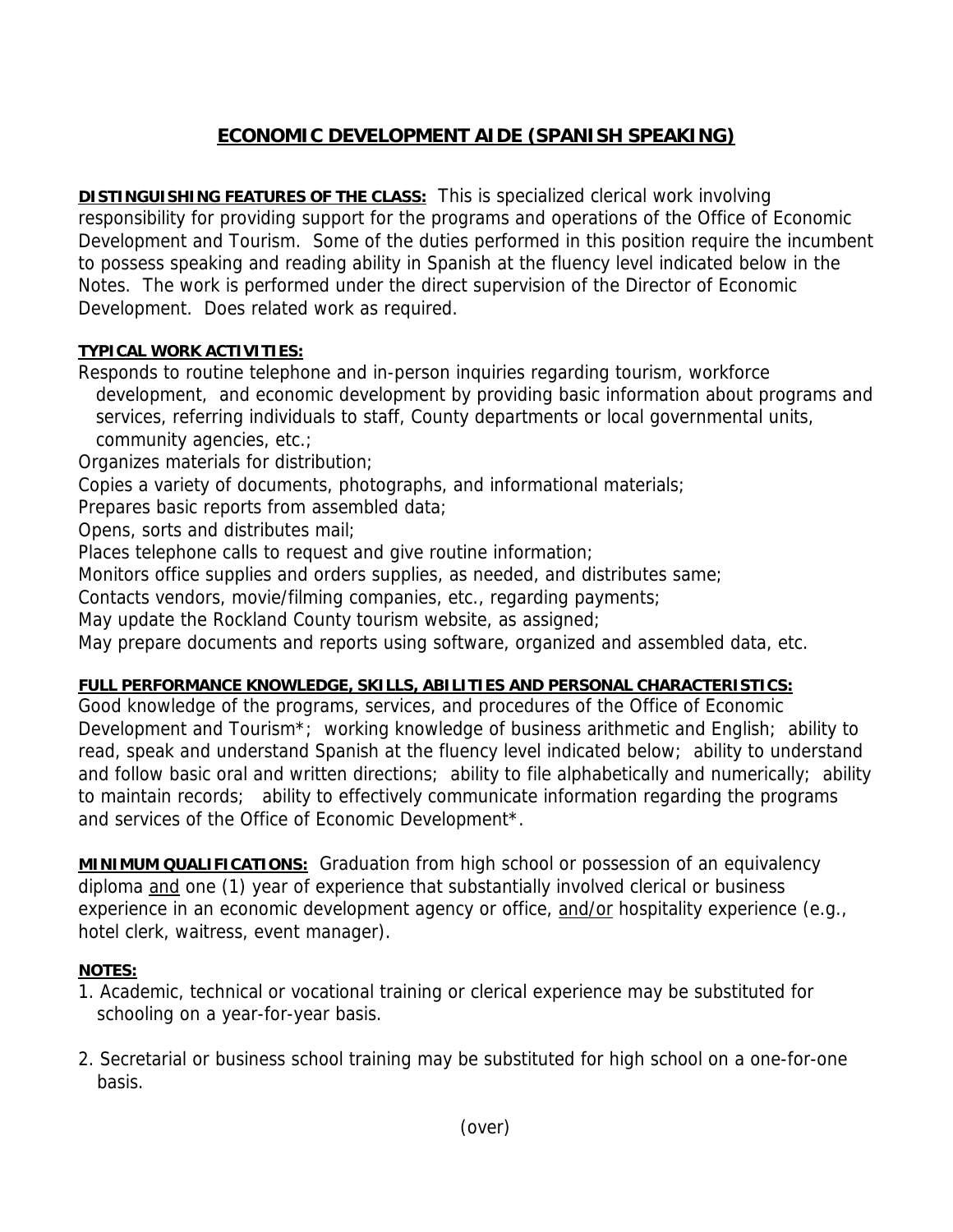## **ECONOMIC DEVELOPMENT AIDE (SPANISH SPEAKING)**

**DISTINGUISHING FEATURES OF THE CLASS:** This is specialized clerical work involving responsibility for providing support for the programs and operations of the Office of Economic Development and Tourism. Some of the duties performed in this position require the incumbent to possess speaking and reading ability in Spanish at the fluency level indicated below in the Notes. The work is performed under the direct supervision of the Director of Economic Development. Does related work as required.

## **TYPICAL WORK ACTIVITIES:**

Responds to routine telephone and in-person inquiries regarding tourism, workforce development, and economic development by providing basic information about programs and services, referring individuals to staff, County departments or local governmental units, community agencies, etc.;

Organizes materials for distribution;

Copies a variety of documents, photographs, and informational materials;

Prepares basic reports from assembled data;

Opens, sorts and distributes mail;

Places telephone calls to request and give routine information;

Monitors office supplies and orders supplies, as needed, and distributes same;

Contacts vendors, movie/filming companies, etc., regarding payments;

May update the Rockland County tourism website, as assigned;

May prepare documents and reports using software, organized and assembled data, etc.

## **FULL PERFORMANCE KNOWLEDGE, SKILLS, ABILITIES AND PERSONAL CHARACTERISTICS:**

Good knowledge of the programs, services, and procedures of the Office of Economic Development and Tourism\*; working knowledge of business arithmetic and English; ability to read, speak and understand Spanish at the fluency level indicated below; ability to understand and follow basic oral and written directions; ability to file alphabetically and numerically; ability to maintain records; ability to effectively communicate information regarding the programs and services of the Office of Economic Development\*.

**MINIMUM QUALIFICATIONS:** Graduation from high school or possession of an equivalency diploma and one (1) year of experience that substantially involved clerical or business experience in an economic development agency or office, and/or hospitality experience (e.g., hotel clerk, waitress, event manager).

## **NOTES:**

- 1. Academic, technical or vocational training or clerical experience may be substituted for schooling on a year-for-year basis.
- 2. Secretarial or business school training may be substituted for high school on a one-for-one basis.